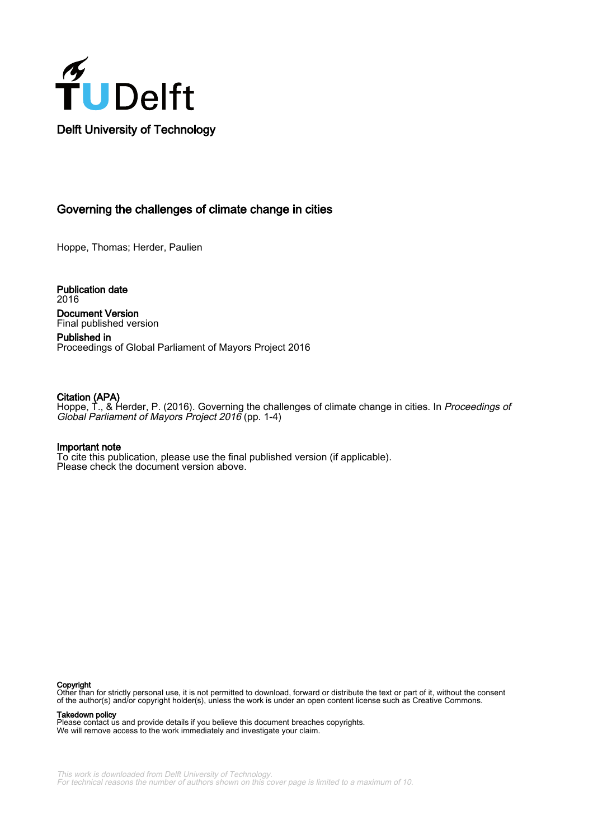

# Governing the challenges of climate change in cities

Hoppe, Thomas; Herder, Paulien

Publication date 2016 Document Version Final published version

Published in Proceedings of Global Parliament of Mayors Project 2016

#### Citation (APA)

Hoppe, T., & Herder, P. (2016). Governing the challenges of climate change in cities. In *Proceedings of* Global Parliament of Mayors Project 2016 (pp. 1-4)

#### Important note

To cite this publication, please use the final published version (if applicable). Please check the document version above.

#### Copyright

Other than for strictly personal use, it is not permitted to download, forward or distribute the text or part of it, without the consent of the author(s) and/or copyright holder(s), unless the work is under an open content license such as Creative Commons.

Takedown policy

Please contact us and provide details if you believe this document breaches copyrights. We will remove access to the work immediately and investigate your claim.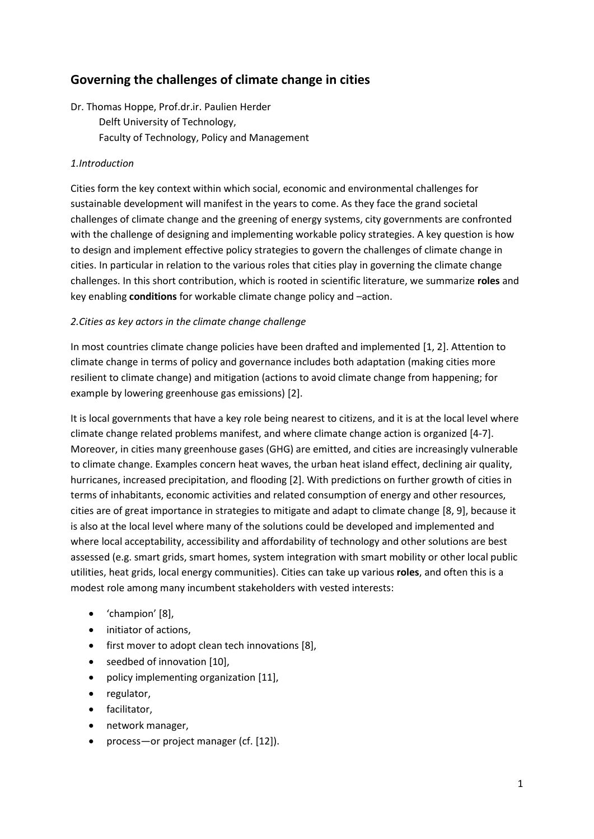# **Governing the challenges of climate change in cities**

Dr. Thomas Hoppe, Prof.dr.ir. Paulien Herder Delft University of Technology, Faculty of Technology, Policy and Management

## *1.Introduction*

Cities form the key context within which social, economic and environmental challenges for sustainable development will manifest in the years to come. As they face the grand societal challenges of climate change and the greening of energy systems, city governments are confronted with the challenge of designing and implementing workable policy strategies. A key question is how to design and implement effective policy strategies to govern the challenges of climate change in cities. In particular in relation to the various roles that cities play in governing the climate change challenges. In this short contribution, which is rooted in scientific literature, we summarize **roles** and key enabling **conditions** for workable climate change policy and –action.

## *2.Cities as key actors in the climate change challenge*

In most countries climate change policies have been drafted and implemented [1, 2]. Attention to climate change in terms of policy and governance includes both adaptation (making cities more resilient to climate change) and mitigation (actions to avoid climate change from happening; for example by lowering greenhouse gas emissions) [2].

It is local governments that have a key role being nearest to citizens, and it is at the local level where climate change related problems manifest, and where climate change action is organized [4-7]. Moreover, in cities many greenhouse gases (GHG) are emitted, and cities are increasingly vulnerable to climate change. Examples concern heat waves, the urban heat island effect, declining air quality, hurricanes, increased precipitation, and flooding [2]. With predictions on further growth of cities in terms of inhabitants, economic activities and related consumption of energy and other resources, cities are of great importance in strategies to mitigate and adapt to climate change [8, 9], because it is also at the local level where many of the solutions could be developed and implemented and where local acceptability, accessibility and affordability of technology and other solutions are best assessed (e.g. smart grids, smart homes, system integration with smart mobility or other local public utilities, heat grids, local energy communities). Cities can take up various **roles**, and often this is a modest role among many incumbent stakeholders with vested interests:

- 'champion' [8],
- initiator of actions,
- first mover to adopt clean tech innovations [8],
- seedbed of innovation [10],
- policy implementing organization [11],
- regulator,
- **•** facilitator,
- network manager,
- process—or project manager (cf. [12]).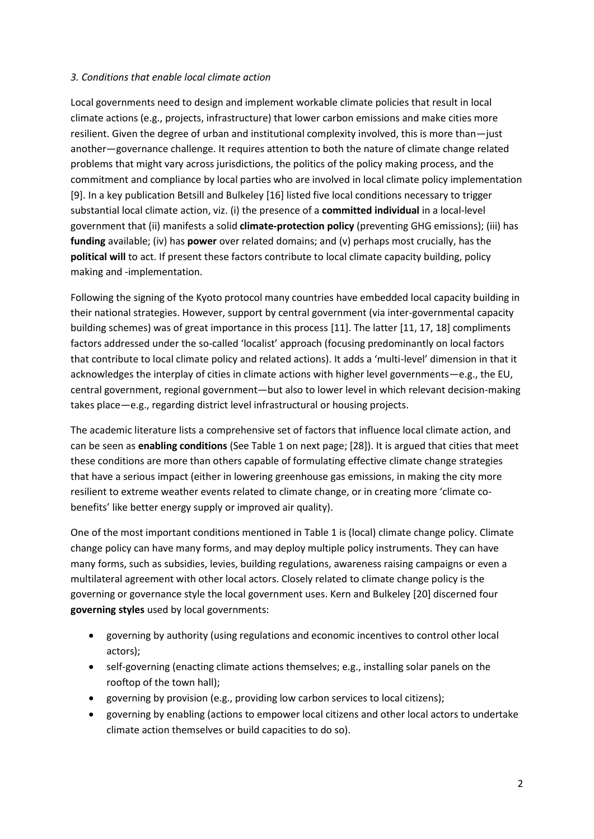## *3. Conditions that enable local climate action*

Local governments need to design and implement workable climate policies that result in local climate actions (e.g., projects, infrastructure) that lower carbon emissions and make cities more resilient. Given the degree of urban and institutional complexity involved, this is more than—just another—governance challenge. It requires attention to both the nature of climate change related problems that might vary across jurisdictions, the politics of the policy making process, and the commitment and compliance by local parties who are involved in local climate policy implementation [9]. In a key publication Betsill and Bulkeley [16] listed five local conditions necessary to trigger substantial local climate action, viz. (i) the presence of a **committed individual** in a local-level government that (ii) manifests a solid **climate-protection policy** (preventing GHG emissions); (iii) has **funding** available; (iv) has **power** over related domains; and (v) perhaps most crucially, has the **political will** to act. If present these factors contribute to local climate capacity building, policy making and -implementation.

Following the signing of the Kyoto protocol many countries have embedded local capacity building in their national strategies. However, support by central government (via inter-governmental capacity building schemes) was of great importance in this process [11]. The latter [11, 17, 18] compliments factors addressed under the so-called 'localist' approach (focusing predominantly on local factors that contribute to local climate policy and related actions). It adds a 'multi-level' dimension in that it acknowledges the interplay of cities in climate actions with higher level governments—e.g., the EU, central government, regional government—but also to lower level in which relevant decision-making takes place—e.g., regarding district level infrastructural or housing projects.

The academic literature lists a comprehensive set of factors that influence local climate action, and can be seen as **enabling conditions** (See Table 1 on next page; [28]). It is argued that cities that meet these conditions are more than others capable of formulating effective climate change strategies that have a serious impact (either in lowering greenhouse gas emissions, in making the city more resilient to extreme weather events related to climate change, or in creating more 'climate cobenefits' like better energy supply or improved air quality).

One of the most important conditions mentioned in Table 1 is (local) climate change policy. Climate change policy can have many forms, and may deploy multiple policy instruments. They can have many forms, such as subsidies, levies, building regulations, awareness raising campaigns or even a multilateral agreement with other local actors. Closely related to climate change policy is the governing or governance style the local government uses. Kern and Bulkeley [20] discerned four **governing styles** used by local governments:

- governing by authority (using regulations and economic incentives to control other local actors);
- self-governing (enacting climate actions themselves; e.g., installing solar panels on the rooftop of the town hall);
- governing by provision (e.g., providing low carbon services to local citizens);
- governing by enabling (actions to empower local citizens and other local actors to undertake climate action themselves or build capacities to do so).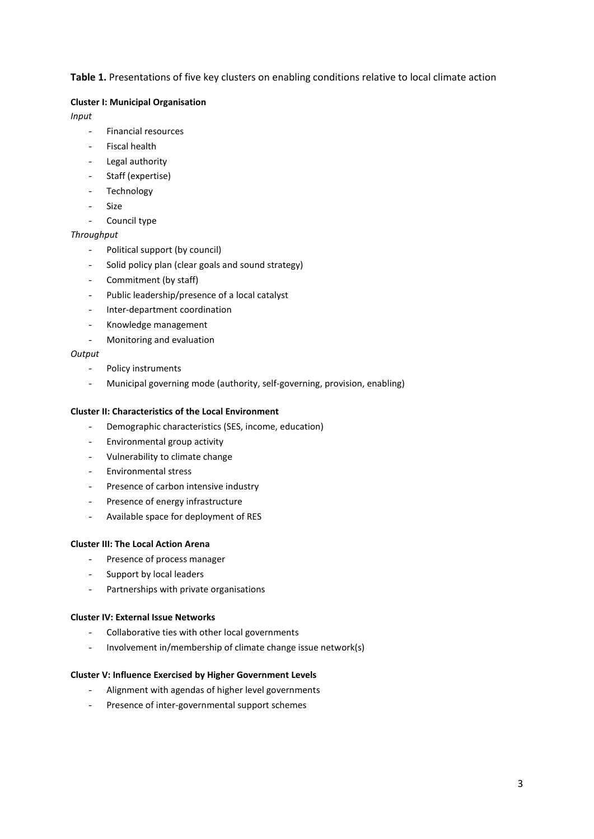### Table 1. Presentations of five key clusters on enabling conditions relative to local climate action

#### **Cluster I: Municipal Organisation**

*Input*

- Financial resources
- Fiscal health
- Legal authority
- Staff (expertise)
- Technology
- Size
- Council type

#### *Throughput*

- Political support (by council)
- Solid policy plan (clear goals and sound strategy)
- Commitment (by staff)
- Public leadership/presence of a local catalyst
- Inter-department coordination
- Knowledge management
- Monitoring and evaluation

#### *Output*

- Policy instruments
- Municipal governing mode (authority, self-governing, provision, enabling)

#### **Cluster II: Characteristics of the Local Environment**

- Demographic characteristics (SES, income, education)
- Environmental group activity
- Vulnerability to climate change
- Environmental stress
- Presence of carbon intensive industry
- Presence of energy infrastructure
- Available space for deployment of RES

#### **Cluster III: The Local Action Arena**

- Presence of process manager
- Support by local leaders
- Partnerships with private organisations

#### **Cluster IV: External Issue Networks**

- Collaborative ties with other local governments
- Involvement in/membership of climate change issue network(s)

#### **Cluster V: Influence Exercised by Higher Government Levels**

- Alignment with agendas of higher level governments
- Presence of inter-governmental support schemes